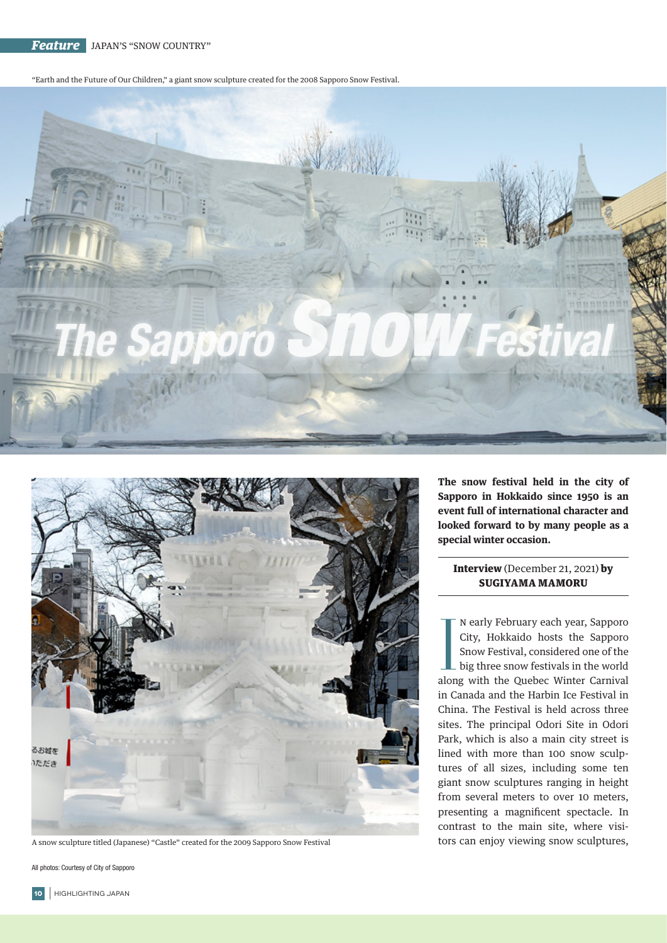*Feature* JAPAN'S "SNOW COUNTRY"

"Earth and the Future of Our Children," a giant snow sculpture created for the 2008 Sapporo Snow Festival.





A snow sculpture titled (Japanese) "Castle" created for the 2009 Sapporo Snow Festival

All photos: Courtesy of City of Sapporo

**The snow festival held in the city of Sapporo in Hokkaido since 1950 is an event full of international character and looked forward to by many people as a special winter occasion.**

Interview (December 21, 2021) by SUGIYAMA MAMORU

N early February each year, Sapporo<br>City, Hokkaido hosts the Sapporo<br>Snow Festival, considered one of the<br>big three snow festivals in the world<br>along with the Quebec Winter Carnival n early February each year, Sapporo City, Hokkaido hosts the Sapporo Snow Festival, considered one of the big three snow festivals in the world in Canada and the Harbin Ice Festival in China. The Festival is held across three sites. The principal Odori Site in Odori Park, which is also a main city street is lined with more than 100 snow sculptures of all sizes, including some ten giant snow sculptures ranging in height from several meters to over 10 meters, presenting a magnificent spectacle. In contrast to the main site, where visitors can enjoy viewing snow sculptures,